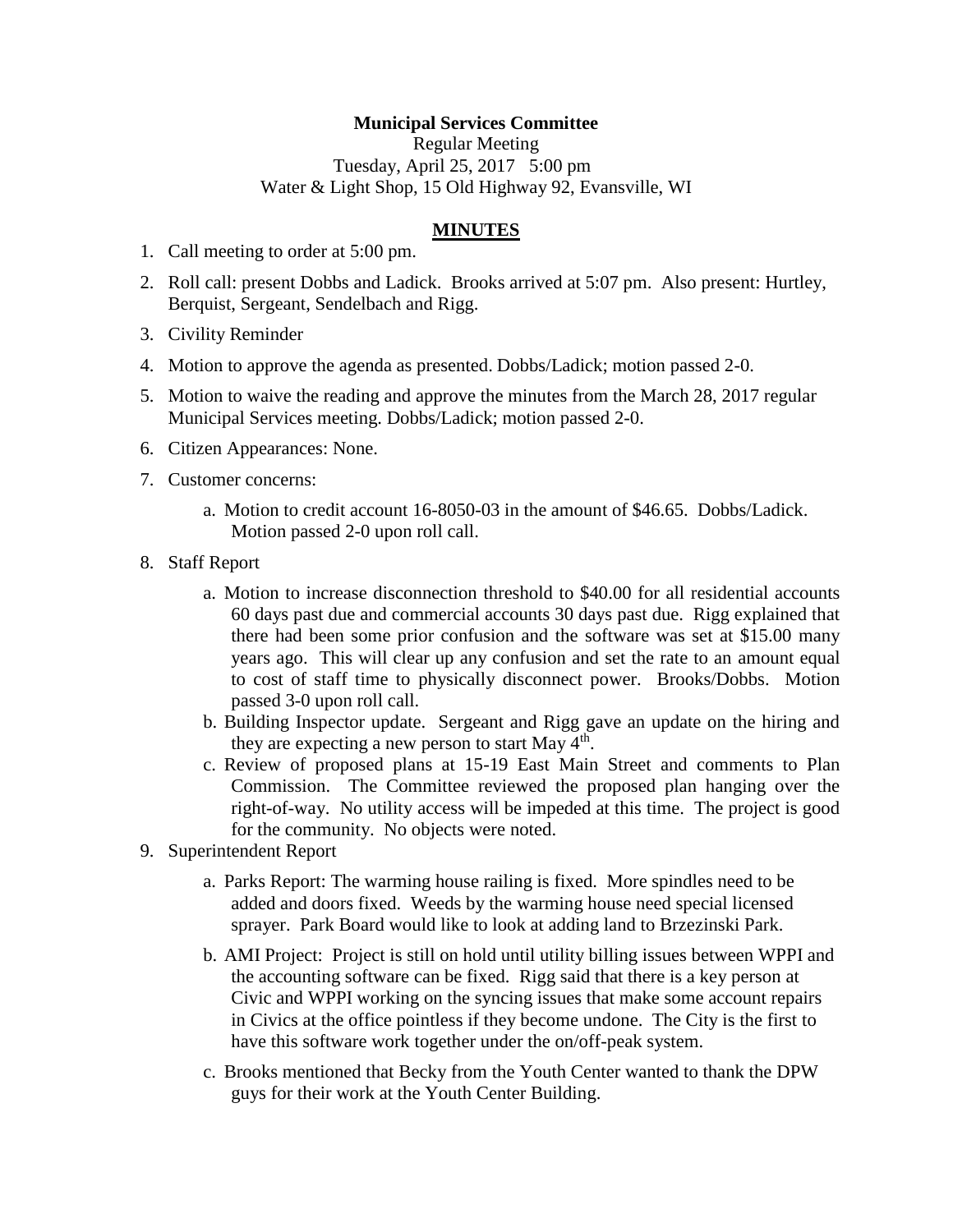## **Municipal Services Committee**

Regular Meeting Tuesday, April 25, 2017 5:00 pm Water & Light Shop, 15 Old Highway 92, Evansville, WI

## **MINUTES**

- 1. Call meeting to order at 5:00 pm.
- 2. Roll call: present Dobbs and Ladick. Brooks arrived at 5:07 pm. Also present: Hurtley, Berquist, Sergeant, Sendelbach and Rigg.
- 3. Civility Reminder
- 4. Motion to approve the agenda as presented. Dobbs/Ladick; motion passed 2-0.
- 5. Motion to waive the reading and approve the minutes from the March 28, 2017 regular Municipal Services meeting. Dobbs/Ladick; motion passed 2-0.
- 6. Citizen Appearances: None.
- 7. Customer concerns:
	- a. Motion to credit account 16-8050-03 in the amount of \$46.65. Dobbs/Ladick. Motion passed 2-0 upon roll call.
- 8. Staff Report
	- a. Motion to increase disconnection threshold to \$40.00 for all residential accounts 60 days past due and commercial accounts 30 days past due. Rigg explained that there had been some prior confusion and the software was set at \$15.00 many years ago. This will clear up any confusion and set the rate to an amount equal to cost of staff time to physically disconnect power. Brooks/Dobbs. Motion passed 3-0 upon roll call.
	- b. Building Inspector update. Sergeant and Rigg gave an update on the hiring and they are expecting a new person to start May  $4<sup>th</sup>$ .
	- c. Review of proposed plans at 15-19 East Main Street and comments to Plan Commission. The Committee reviewed the proposed plan hanging over the right-of-way. No utility access will be impeded at this time. The project is good for the community. No objects were noted.
- 9. Superintendent Report
	- a. Parks Report: The warming house railing is fixed. More spindles need to be added and doors fixed. Weeds by the warming house need special licensed sprayer. Park Board would like to look at adding land to Brzezinski Park.
	- b. AMI Project: Project is still on hold until utility billing issues between WPPI and the accounting software can be fixed. Rigg said that there is a key person at Civic and WPPI working on the syncing issues that make some account repairs in Civics at the office pointless if they become undone. The City is the first to have this software work together under the on/off-peak system.
	- c. Brooks mentioned that Becky from the Youth Center wanted to thank the DPW guys for their work at the Youth Center Building.